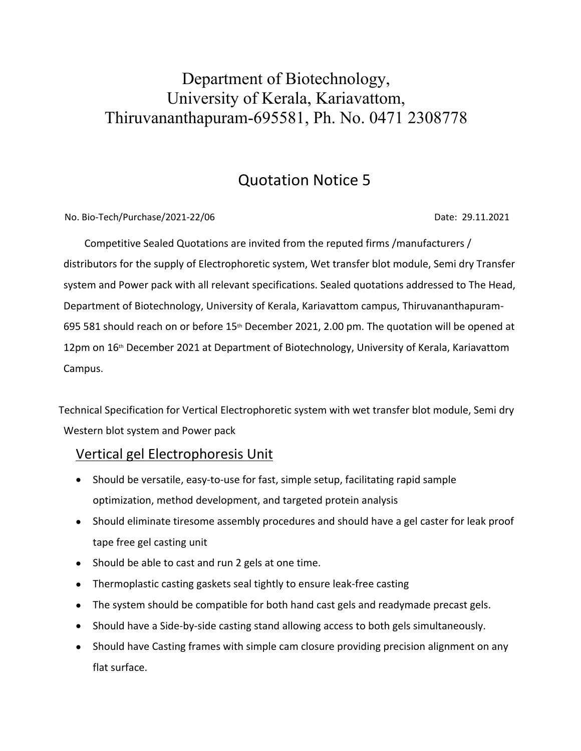# Department of Biotechnology, University of Kerala, Kariavattom, Thiruvananthapuram-695581, Ph. No. 0471 2308778

## Quotation Notice 5

No. Bio-Tech/Purchase/2021-22/06 **Date: 29.11.2021** Date: 29.11.2021

 Competitive Sealed Quotations are invited from the reputed firms /manufacturers / distributors for the supply of Electrophoretic system, Wet transfer blot module, Semi dry Transfer system and Power pack with all relevant specifications. Sealed quotations addressed to The Head, Department of Biotechnology, University of Kerala, Kariavattom campus, Thiruvananthapuram-695 581 should reach on or before 15<sup>th</sup> December 2021, 2.00 pm. The quotation will be opened at 12pm on  $16<sup>th</sup>$  December 2021 at Department of Biotechnology, University of Kerala, Kariavattom Campus.

Technical Specification for Vertical Electrophoretic system with wet transfer blot module, Semi dry Western blot system and Power pack

#### Vertical gel Electrophoresis Unit

- Should be versatile, easy-to-use for fast, simple setup, facilitating rapid sample optimization, method development, and targeted protein analysis
- Should eliminate tiresome assembly procedures and should have a gel caster for leak proof tape free gel casting unit
- Should be able to cast and run 2 gels at one time.
- Thermoplastic casting gaskets seal tightly to ensure leak-free casting
- The system should be compatible for both hand cast gels and readymade precast gels.
- Should have a Side-by-side casting stand allowing access to both gels simultaneously.
- Should have Casting frames with simple cam closure providing precision alignment on any flat surface.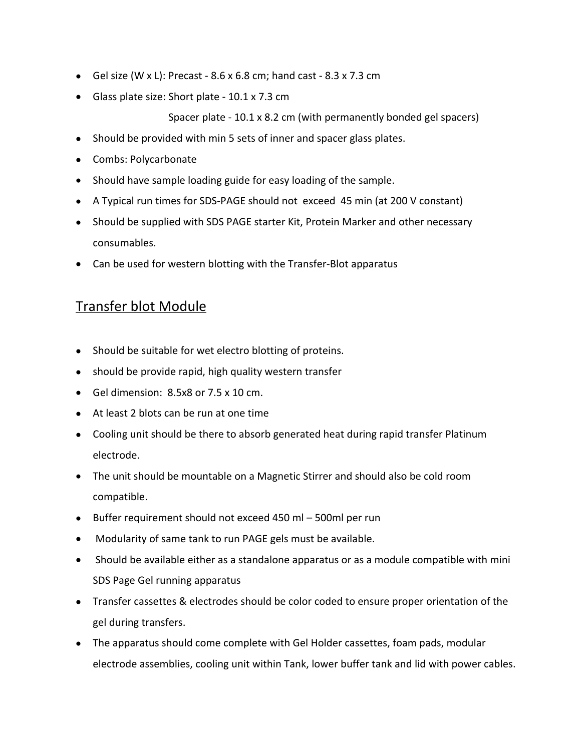- Gel size (W x L): Precast 8.6 x 6.8 cm; hand cast 8.3 x 7.3 cm
- Glass plate size: Short plate 10.1 x 7.3 cm

Spacer plate - 10.1 x 8.2 cm (with permanently bonded gel spacers)

- Should be provided with min 5 sets of inner and spacer glass plates.
- Combs: Polycarbonate
- Should have sample loading guide for easy loading of the sample.
- A Typical run times for SDS-PAGE should not exceed 45 min (at 200 V constant)
- Should be supplied with SDS PAGE starter Kit, Protein Marker and other necessary consumables.
- Can be used for western blotting with the Transfer-Blot apparatus

#### Transfer blot Module

- Should be suitable for wet electro blotting of proteins.
- should be provide rapid, high quality western transfer
- Gel dimension: 8.5x8 or 7.5 x 10 cm.
- At least 2 blots can be run at one time
- Cooling unit should be there to absorb generated heat during rapid transfer Platinum electrode.
- The unit should be mountable on a Magnetic Stirrer and should also be cold room compatible.
- Buffer requirement should not exceed 450 ml 500ml per run
- Modularity of same tank to run PAGE gels must be available.
- Should be available either as a standalone apparatus or as a module compatible with mini SDS Page Gel running apparatus
- Transfer cassettes & electrodes should be color coded to ensure proper orientation of the gel during transfers.
- The apparatus should come complete with Gel Holder cassettes, foam pads, modular electrode assemblies, cooling unit within Tank, lower buffer tank and lid with power cables.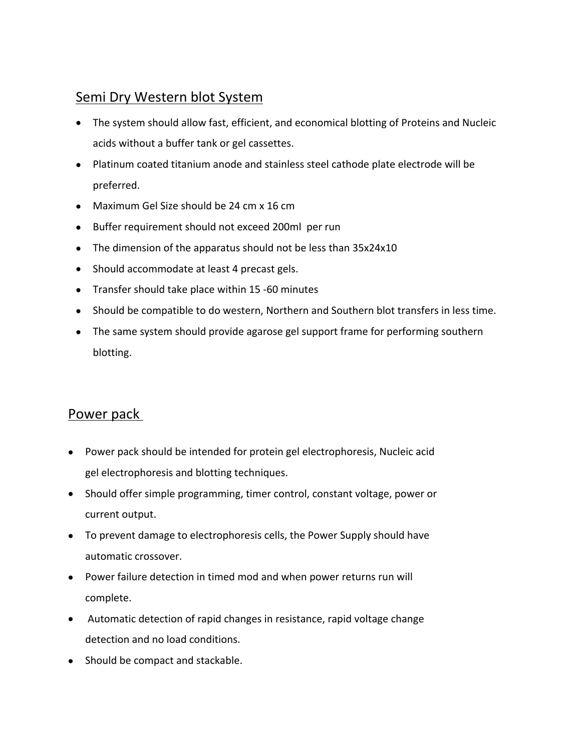## Semi Dry Western blot System

- The system should allow fast, efficient, and economical blotting of Proteins and Nucleic acids without a buffer tank or gel cassettes.
- Platinum coated titanium anode and stainless steel cathode plate electrode will be preferred.
- Maximum Gel Size should be 24 cm x 16 cm
- Buffer requirement should not exceed 200ml per run
- The dimension of the apparatus should not be less than 35x24x10
- Should accommodate at least 4 precast gels.
- Transfer should take place within 15 -60 minutes
- Should be compatible to do western, Northern and Southern blot transfers in less time.
- The same system should provide agarose gel support frame for performing southern blotting.

#### Power pack

- Power pack should be intended for protein gel electrophoresis, Nucleic acid gel electrophoresis and blotting techniques.
- Should offer simple programming, timer control, constant voltage, power or current output.
- To prevent damage to electrophoresis cells, the Power Supply should have automatic crossover.
- Power failure detection in timed mod and when power returns run will complete.
- Automatic detection of rapid changes in resistance, rapid voltage change detection and no load conditions.
- Should be compact and stackable.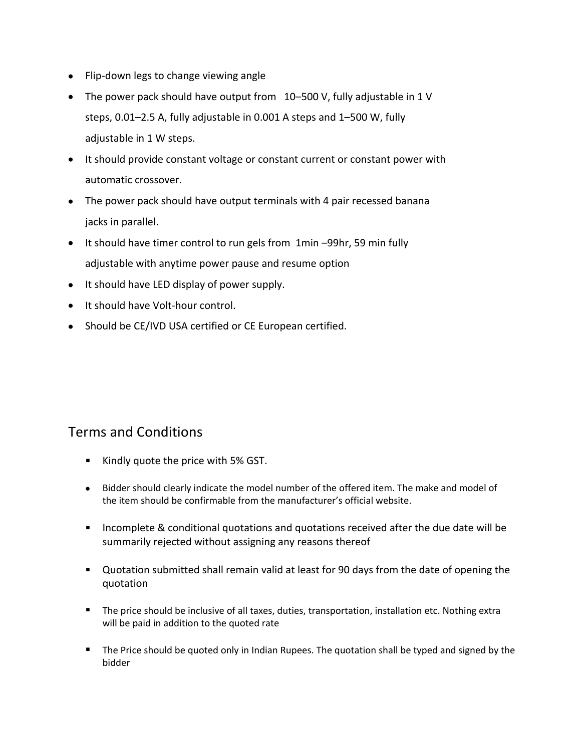- Flip-down legs to change viewing angle
- The power pack should have output from 10–500 V, fully adjustable in 1 V steps, 0.01–2.5 A, fully adjustable in 0.001 A steps and 1–500 W, fully adjustable in 1 W steps.
- It should provide constant voltage or constant current or constant power with automatic crossover.
- The power pack should have output terminals with 4 pair recessed banana jacks in parallel.
- It should have timer control to run gels from 1min -99hr, 59 min fully adjustable with anytime power pause and resume option
- It should have LED display of power supply.
- It should have Volt-hour control.
- Should be CE/IVD USA certified or CE European certified.

### Terms and Conditions

- Kindly quote the price with 5% GST.
- Bidder should clearly indicate the model number of the offered item. The make and model of the item should be confirmable from the manufacturer's official website.
- **Incomplete & conditional quotations and quotations received after the due date will be** summarily rejected without assigning any reasons thereof
- Quotation submitted shall remain valid at least for 90 days from the date of opening the quotation
- **The price should be inclusive of all taxes, duties, transportation, installation etc. Nothing extra** will be paid in addition to the quoted rate
- **The Price should be quoted only in Indian Rupees. The quotation shall be typed and signed by the** bidder